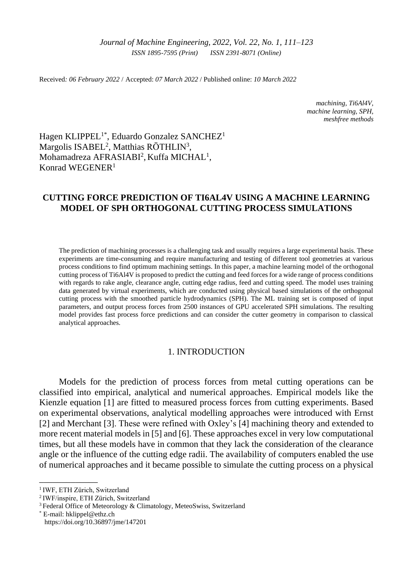Received*: 06 February 2022* / Accepted: *07 March 2022* / Published online: *10 March 2022*

*machining, Ti6Al4V, machine learning, SPH, meshfree methods*

Hagen KLIPPEL<sup>1\*</sup>, Eduardo Gonzalez SANCHEZ<sup>1</sup> Margolis ISABEL<sup>2</sup>, Matthias RÖTHLIN<sup>3</sup>, Mohamadreza AFRASIABI<sup>2</sup>, Kuffa MICHAL<sup>1</sup>, Konrad WEGENER<sup>1</sup>

# **CUTTING FORCE PREDICTION OF TI6AL4V USING A MACHINE LEARNING MODEL OF SPH ORTHOGONAL CUTTING PROCESS SIMULATIONS**

The prediction of machining processes is a challenging task and usually requires a large experimental basis. These experiments are time-consuming and require manufacturing and testing of different tool geometries at various process conditions to find optimum machining settings. In this paper, a machine learning model of the orthogonal cutting process of Ti6Al4V is proposed to predict the cutting and feed forces for a wide range of process conditions with regards to rake angle, clearance angle, cutting edge radius, feed and cutting speed. The model uses training data generated by virtual experiments, which are conducted using physical based simulations of the orthogonal cutting process with the smoothed particle hydrodynamics (SPH). The ML training set is composed of input parameters, and output process forces from 2500 instances of GPU accelerated SPH simulations. The resulting model provides fast process force predictions and can consider the cutter geometry in comparison to classical analytical approaches.

# 1. INTRODUCTION

Models for the prediction of process forces from metal cutting operations can be classified into empirical, analytical and numerical approaches. Empirical models like the Kienzle equation [\[1\]](#page-11-0) are fitted to measured process forces from cutting experiments. Based on experimental observations, analytical modelling approaches were introduced with Ernst [\[2\]](#page-11-1) and Merchant [\[3\].](#page-11-2) These were refined with Oxley's [\[4\]](#page-11-3) machining theory and extended to more recent material models in [\[5\]](#page-11-4) and [\[6\].](#page-11-5) These approaches excel in very low computational times, but all these models have in common that they lack the consideration of the clearance angle or the influence of the cutting edge radii. The availability of computers enabled the use of numerical approaches and it became possible to simulate the cutting process on a physical

\_\_\_\_\_\_\_\_\_\_\_\_\_

<sup>&</sup>lt;sup>1</sup> IWF, ETH Zürich, Switzerland

<sup>2</sup>IWF/inspire, ETH Zürich, Switzerland

<sup>&</sup>lt;sup>3</sup> Federal Office of Meteorology & Climatology, MeteoSwiss, Switzerland

<sup>\*</sup> E-mail: [hklippel@ethz.ch](mailto:hklippel@ethz.ch) https://doi.org/10.36897/jme/147201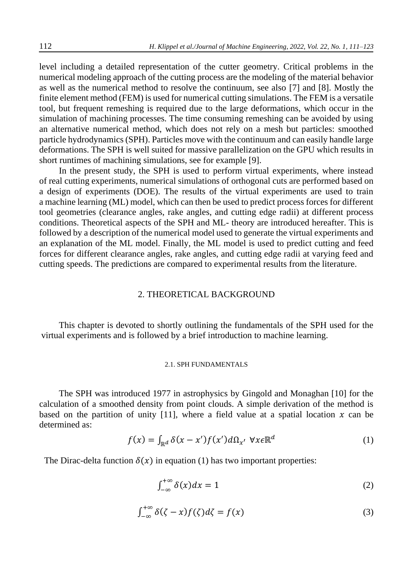level including a detailed representation of the cutter geometry. Critical problems in the numerical modeling approach of the cutting process are the modeling of the material behavior as well as the numerical method to resolve the continuum, see also [\[7\]](#page-11-6) and [\[8\].](#page-11-7) Mostly the finite element method (FEM) is used for numerical cutting simulations. The FEM is a versatile tool, but frequent remeshing is required due to the large deformations, which occur in the simulation of machining processes. The time consuming remeshing can be avoided by using an alternative numerical method, which does not rely on a mesh but particles: smoothed particle hydrodynamics (SPH). Particles move with the continuum and can easily handle large deformations. The SPH is well suited for massive parallelization on the GPU which results in short runtimes of machining simulations, see for example [9].

In the present study, the SPH is used to perform virtual experiments, where instead of real cutting experiments, numerical simulations of orthogonal cuts are performed based on a design of experiments (DOE). The results of the virtual experiments are used to train a machine learning (ML) model, which can then be used to predict process forces for different tool geometries (clearance angles, rake angles, and cutting edge radii) at different process conditions. Theoretical aspects of the SPH and ML- theory are introduced hereafter. This is followed by a description of the numerical model used to generate the virtual experiments and an explanation of the ML model. Finally, the ML model is used to predict cutting and feed forces for different clearance angles, rake angles, and cutting edge radii at varying feed and cutting speeds. The predictions are compared to experimental results from the literature.

### 2. THEORETICAL BACKGROUND

This chapter is devoted to shortly outlining the fundamentals of the SPH used for the virtual experiments and is followed by a brief introduction to machine learning.

#### 2.1. SPH FUNDAMENTALS

The SPH was introduced 1977 in astrophysics by Gingold and Monaghan [10] for the calculation of a smoothed density from point clouds. A simple derivation of the method is based on the partition of unity [11], where a field value at a spatial location  $x$  can be determined as:

$$
f(x) = \int_{\mathbb{R}^d} \delta(x - x') f(x') d\Omega_{x'} \ \forall x \in \mathbb{R}^d
$$
 (1)

The Dirac-delta function  $\delta(x)$  in equation (1) has two important properties:

$$
\int_{-\infty}^{+\infty} \delta(x) dx = 1 \tag{2}
$$

$$
\int_{-\infty}^{+\infty} \delta(\zeta - x) f(\zeta) d\zeta = f(x) \tag{3}
$$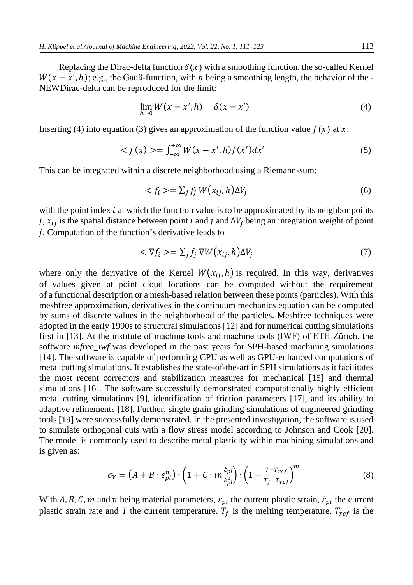Replacing the Dirac-delta function  $\delta(x)$  with a smoothing function, the so-called Kernel  $W(x - x', h)$ ; e.g., the Gauß-function, with h being a smoothing length, the behavior of the -NEWDirac-delta can be reproduced for the limit:

$$
\lim_{h \to 0} W(x - x', h) = \delta(x - x')
$$
\n(4)

Inserting (4) into equation (3) gives an approximation of the function value  $f(x)$  at x:

$$
\langle f(x) \rangle = \int_{-\infty}^{+\infty} W(x - x', h) f(x') dx' \tag{5}
$$

This can be integrated within a discrete neighborhood using a Riemann-sum:

$$
\langle f_i \rangle = \sum_j f_j W(x_{ij}, h) \Delta V_j \tag{6}
$$

with the point index  $i$  at which the function value is to be approximated by its neighbor points j,  $x_{ij}$  is the spatial distance between point *i* and *j* and  $\Delta V_i$  being an integration weight of point . Computation of the function's derivative leads to

$$
\langle \nabla f_i \rangle = \sum_j f_j \nabla W(x_{ij}, h) \Delta V_j \tag{7}
$$

where only the derivative of the Kernel  $W(x_{i,j}, h)$  is required. In this way, derivatives of values given at point cloud locations can be computed without the requirement of a functional description or a mesh-based relation between these points (particles). With this meshfree approximation, derivatives in the continuum mechanics equation can be computed by sums of discrete values in the neighborhood of the particles. Meshfree techniques were adopted in the early 1990s to structural simulations [12] and for numerical cutting simulations first in [13]. At the institute of machine tools and machine tools (IWF) of ETH Zürich, the software *mfree\_iwf* was developed in the past years for SPH-based machining simulations [14]. The software is capable of performing CPU as well as GPU-enhanced computations of metal cutting simulations. It establishes the state-of-the-art in SPH simulations as it facilitates the most recent correctors and stabilization measures for mechanical [15] and thermal simulations [16]. The software successfully demonstrated computationally highly efficient metal cutting simulations [9], identification of friction parameters [17], and its ability to adaptive refinements [18]. Further, single grain grinding simulations of engineered grinding tools [19] were successfully demonstrated. In the presented investigation, the software is used to simulate orthogonal cuts with a flow stress model according to Johnson and Cook [20]. The model is commonly used to describe metal plasticity within machining simulations and is given as:

$$
\sigma_Y = \left(A + B \cdot \varepsilon_{pl}^n\right) \cdot \left(1 + C \cdot \ln \frac{\varepsilon_{pl}}{\varepsilon_{pl}^0}\right) \cdot \left(1 - \frac{T - T_{ref}}{T_f - T_{ref}}\right)^m \tag{8}
$$

With A, B, C, m and n being material parameters,  $\varepsilon_{pl}$  the current plastic strain,  $\dot{\varepsilon}_{pl}$  the current plastic strain rate and *T* the current temperature.  $T_f$  is the melting temperature,  $T_{ref}$  is the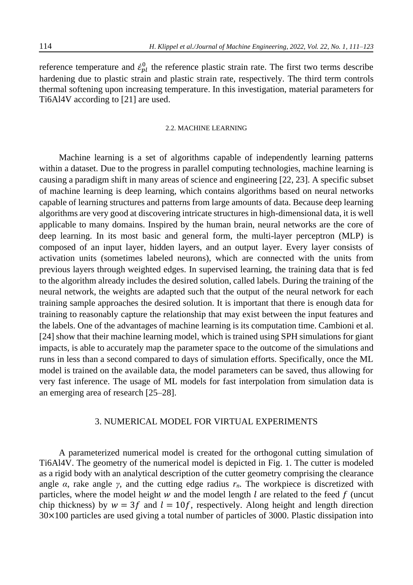reference temperature and  $\dot{\epsilon}_{pl}^0$  the reference plastic strain rate. The first two terms describe hardening due to plastic strain and plastic strain rate, respectively. The third term controls thermal softening upon increasing temperature. In this investigation, material parameters for Ti6Al4V according to [21] are used.

### 2.2. MACHINE LEARNING

Machine learning is a set of algorithms capable of independently learning patterns within a dataset. Due to the progress in parallel computing technologies, machine learning is causing a paradigm shift in many areas of science and engineering [22, 23]. A specific subset of machine learning is deep learning, which contains algorithms based on neural networks capable of learning structures and patterns from large amounts of data. Because deep learning algorithms are very good at discovering intricate structures in high-dimensional data, it is well applicable to many domains. Inspired by the human brain, neural networks are the core of deep learning. In its most basic and general form, the multi-layer perceptron (MLP) is composed of an input layer, hidden layers, and an output layer. Every layer consists of activation units (sometimes labeled neurons), which are connected with the units from previous layers through weighted edges. In supervised learning, the training data that is fed to the algorithm already includes the desired solution, called labels. During the training of the neural network, the weights are adapted such that the output of the neural network for each training sample approaches the desired solution. It is important that there is enough data for training to reasonably capture the relationship that may exist between the input features and the labels. One of the advantages of machine learning is its computation time. Cambioni et al. [24] show that their machine learning model, which is trained using SPH simulations for giant impacts, is able to accurately map the parameter space to the outcome of the simulations and runs in less than a second compared to days of simulation efforts. Specifically, once the ML model is trained on the available data, the model parameters can be saved, thus allowing for very fast inference. The usage of ML models for fast interpolation from simulation data is an emerging area of research [25–28].

## 3. NUMERICAL MODEL FOR VIRTUAL EXPERIMENTS

A parameterized numerical model is created for the orthogonal cutting simulation of Ti6Al4V. The geometry of the numerical model is depicted in Fig. 1. The cutter is modeled as a rigid body with an analytical description of the cutter geometry comprising the clearance angle  $\alpha$ , rake angle  $\gamma$ , and the cutting edge radius  $r_n$ . The workpiece is discretized with particles, where the model height  $w$  and the model length  $l$  are related to the feed  $f$  (uncut chip thickness) by  $w = 3f$  and  $l = 10f$ , respectively. Along height and length direction 30×100 particles are used giving a total number of particles of 3000. Plastic dissipation into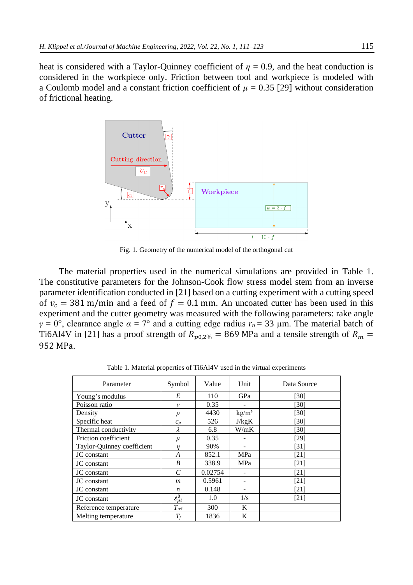heat is considered with a Taylor-Quinney coefficient of  $\eta = 0.9$ , and the heat conduction is considered in the workpiece only. Friction between tool and workpiece is modeled with a Coulomb model and a constant friction coefficient of  $\mu = 0.35$  [29] without consideration of frictional heating.



Fig. 1. Geometry of the numerical model of the orthogonal cut

The material properties used in the numerical simulations are provided in Table 1. The constitutive parameters for the Johnson-Cook flow stress model stem from an inverse parameter identification conducted in [21] based on a cutting experiment with a cutting speed of  $v_c = 381$  m/min and a feed of  $f = 0.1$  mm. An uncoated cutter has been used in this experiment and the cutter geometry was measured with the following parameters: rake angle *γ* = 0°, clearance angle  $\alpha$  = 7° and a cutting edge radius  $r_n$  = 33 μm. The material batch of Ti6Al4V in [21] has a proof strength of  $R_{p0,2\%} = 869$  MPa and a tensile strength of  $R_m =$ 952 MPa.

Parameter Symbol Value Unit Data Source Young's modulus *E* 110 GPa [30] Poisson ratio *ν* 0.35 - [30] Density  $\rho$  | 4430 kg/m<sup>3</sup> [30] Specific heat  $c_p$  526 J/kgK [30] Thermal conductivity  $λ$  6.8 W/mK [30] Friction coefficient  $\mu$  0.35 - [29] Taylor-Quinney coefficient *η* 90% - [31] **JC** constant **A A** 852.1 **MPa** [21]  $\overline{JC}$  constant  $\overline{B}$   $\overline{338.9}$   $\overline{MPa}$  [21] **JC** constant **C** 0.02754 - [21] JC constant *m* 0.5961 - [21]  $JC constant$   $n \t 0.148$  - [21] JC constant  $\dot{\varepsilon}_{pl}^0$  $\frac{0}{n!}$  1.0 1/s [21] Reference temperature *T*<sub>ref</sub> 300 K Melting temperature *T<sub>f</sub>* 1836 K

Table 1. Material properties of Ti6Al4V used in the virtual experiments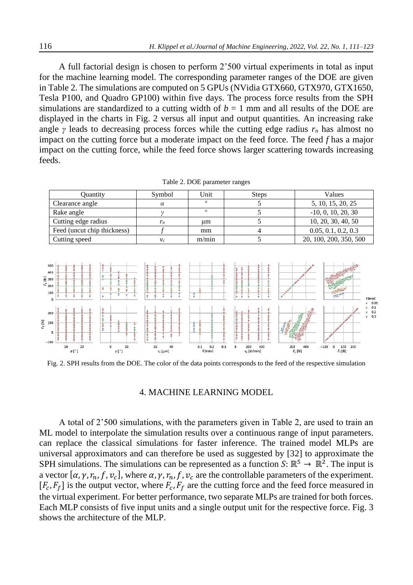A full factorial design is chosen to perform 2'500 virtual experiments in total as input for the machine learning model. The corresponding parameter ranges of the DOE are given in Table 2. The simulations are computed on 5 GPUs (NVidia GTX660, GTX970, GTX1650, Tesla P100, and Quadro GP100) within five days. The process force results from the SPH simulations are standardized to a cutting width of  $b = 1$  mm and all results of the DOE are displayed in the charts in Fig. 2 versus all input and output quantities. An increasing rake angle *γ* leads to decreasing process forces while the cutting edge radius  $r_n$  has almost no impact on the cutting force but a moderate impact on the feed force. The feed *f* has a major impact on the cutting force, while the feed force shows larger scattering towards increasing feeds.

| Ouantity                    | Symbol | Unit    | <b>Steps</b> | Values                 |
|-----------------------------|--------|---------|--------------|------------------------|
| Clearance angle             |        |         |              | 5, 10, 15, 20, 25      |
| Rake angle                  |        | $\circ$ |              | $-10, 0, 10, 20, 30$   |
| Cutting edge radius         | $r_n$  | μm      |              | 10, 20, 30, 40, 50     |
| Feed (uncut chip thickness) |        | mm      |              | 0.05, 0.1, 0.2, 0.3    |
| Cutting speed               |        | m/min   |              | 20, 100, 200, 350, 500 |

| Table 2. DOE parameter ranges |  |  |
|-------------------------------|--|--|
|-------------------------------|--|--|



<span id="page-5-0"></span>Fig. 2. SPH results from the DOE. The color of the data points corresponds to the feed of the respective simulation

## 4. MACHINE LEARNING MODEL

A total of 2'500 simulations, with the parameters given in Table 2, are used to train an ML model to interpolate the simulation results over a continuous range of input parameters. can replace the classical simulations for faster inference. The trained model MLPs are universal approximators and can therefore be used as suggested by [32] to approximate the SPH simulations. The simulations can be represented as a function  $S: \mathbb{R}^5 \to \mathbb{R}^2$ . The input is a vector  $[\alpha, \gamma, r_n, f, v_c]$ , where  $\alpha, \gamma, r_n, f, v_c$  are the controllable parameters of the experiment.  $[F_c, F_f]$  is the output vector, where  $F_c, F_f$  are the cutting force and the feed force measured in the virtual experiment. For better performance, two separate MLPs are trained for both forces. Each MLP consists of five input units and a single output unit for the respective force. Fig. 3 shows the architecture of the MLP.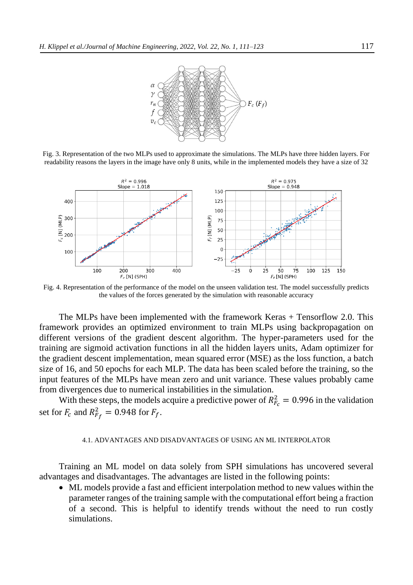

Fig. 3. Representation of the two MLPs used to approximate the simulations. The MLPs have three hidden layers. For readability reasons the layers in the image have only 8 units, while in the implemented models they have a size of 32



Fig. 4. Representation of the performance of the model on the unseen validation test. The model successfully predicts the values of the forces generated by the simulation with reasonable accuracy

The MLPs have been implemented with the framework Keras + Tensorflow 2.0. This framework provides an optimized environment to train MLPs using backpropagation on different versions of the gradient descent algorithm. The hyper-parameters used for the training are sigmoid activation functions in all the hidden layers units, Adam optimizer for the gradient descent implementation, mean squared error (MSE) as the loss function, a batch size of 16, and 50 epochs for each MLP. The data has been scaled before the training, so the input features of the MLPs have mean zero and unit variance. These values probably came from divergences due to numerical instabilities in the simulation.

With these steps, the models acquire a predictive power of  $R_{F_c}^2 = 0.996$  in the validation set for  $F_c$  and  $R_{F_f}^2 = 0.948$  for  $F_f$ .

#### 4.1. ADVANTAGES AND DISADVANTAGES OF USING AN ML INTERPOLATOR

Training an ML model on data solely from SPH simulations has uncovered several advantages and disadvantages. The advantages are listed in the following points:

• ML models provide a fast and efficient interpolation method to new values within the parameter ranges of the training sample with the computational effort being a fraction of a second. This is helpful to identify trends without the need to run costly simulations.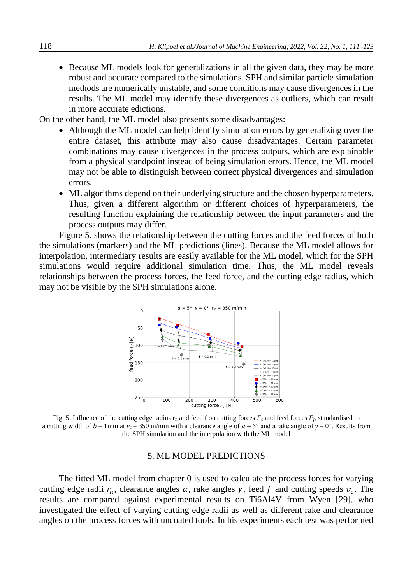• Because ML models look for generalizations in all the given data, they may be more robust and accurate compared to the simulations. SPH and similar particle simulation methods are numerically unstable, and some conditions may cause divergences in the results. The ML model may identify these divergences as outliers, which can result in more accurate edictions.

On the other hand, the ML model also presents some disadvantages:

- Although the ML model can help identify simulation errors by generalizing over the entire dataset, this attribute may also cause disadvantages. Certain parameter combinations may cause divergences in the process outputs, which are explainable from a physical standpoint instead of being simulation errors. Hence, the ML model may not be able to distinguish between correct physical divergences and simulation errors.
- ML algorithms depend on their underlying structure and the chosen hyperparameters. Thus, given a different algorithm or different choices of hyperparameters, the resulting function explaining the relationship between the input parameters and the process outputs may differ.

Figure 5. shows the relationship between the cutting forces and the feed forces of both the simulations (markers) and the ML predictions (lines). Because the ML model allows for interpolation, intermediary results are easily available for the ML model, which for the SPH simulations would require additional simulation time. Thus, the ML model reveals relationships between the process forces, the feed force, and the cutting edge radius, which may not be visible by the SPH simulations alone.



Fig. 5. Influence of the cutting edge radius  $r_n$  and feed f on cutting forces  $F_c$  and feed forces  $F_f$ , standardised to a cutting width of  $b = 1$ mm at  $v_c = 350$  m/min with a clearance angle of  $\alpha = 5^\circ$  and a rake angle of  $\gamma = 0^\circ$ . Results from the SPH simulation and the interpolation with the ML model

## 5. ML MODEL PREDICTIONS

The fitted ML model from chapter [0](#page-5-0) is used to calculate the process forces for varying cutting edge radii  $r_n$ , clearance angles  $\alpha$ , rake angles  $\gamma$ , feed f and cutting speeds  $v_c$ . The results are compared against experimental results on Ti6Al4V from Wyen [29], who investigated the effect of varying cutting edge radii as well as different rake and clearance angles on the process forces with uncoated tools. In his experiments each test was performed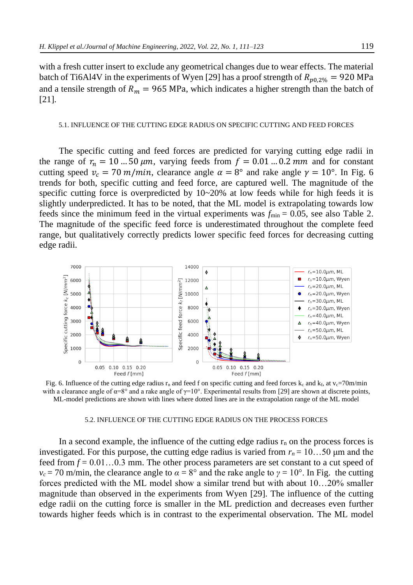with a fresh cutter insert to exclude any geometrical changes due to wear effects. The material batch of Ti6Al4V in the experiments of Wyen [29] has a proof strength of  $R_{p0.2\%} = 920$  MPa and a tensile strength of  $R_m = 965 \text{ MPa}$ , which indicates a higher strength than the batch of [21].

### 5.1. INFLUENCE OF THE CUTTING EDGE RADIUS ON SPECIFIC CUTTING AND FEED FORCES

The specific cutting and feed forces are predicted for varying cutting edge radii in the range of  $r_n = 10$  ... 50  $\mu$ m, varying feeds from  $f = 0.01$  ... 0.2 mm and for constant cutting speed  $v_c = 70 \frac{m}{m}$ , clearance angle  $\alpha = 8^\circ$  and rake angle  $\gamma = 10^\circ$ . In Fig. 6 trends for both, specific cutting and feed force, are captured well. The magnitude of the specific cutting force is overpredicted by  $10~20%$  at low feeds while for high feeds it is slightly underpredicted. It has to be noted, that the ML model is extrapolating towards low feeds since the minimum feed in the virtual experiments was  $f_{\text{min}} = 0.05$ , see also Table 2. The magnitude of the specific feed force is underestimated throughout the complete feed range, but qualitatively correctly predicts lower specific feed forces for decreasing cutting edge radii.



<span id="page-8-0"></span>Fig. 6. Influence of the cutting edge radius  $r_n$  and feed f on specific cutting and feed forces k<sub>c</sub> and k<sub>f</sub>, at v<sub>c</sub>=70m/min with a clearance angle of  $\alpha = 8^\circ$  and a rake angle of  $\gamma = 10^\circ$ . Experimental results from [29] are shown at discrete points, ML-model predictions are shown with lines where dotted lines are in the extrapolation range of the ML model

### 5.2. INFLUENCE OF THE CUTTING EDGE RADIUS ON THE PROCESS FORCES

In a second example, the influence of the cutting edge radius  $r_n$  on the process forces is investigated. For this purpose, the cutting edge radius is varied from  $r_n = 10...50$  µm and the feed from *f* = 0.01…0.3 mm. The other process parameters are set constant to a cut speed of  $v_c$  = 70 m/min, the clearance angle to  $\alpha = 8^\circ$  and the rake angle to  $\gamma = 10^\circ$ . In [Fig.](#page-8-0) the cutting forces predicted with the ML model show a similar trend but with about 10…20% smaller magnitude than observed in the experiments from Wyen [29]. The influence of the cutting edge radii on the cutting force is smaller in the ML prediction and decreases even further towards higher feeds which is in contrast to the experimental observation. The ML model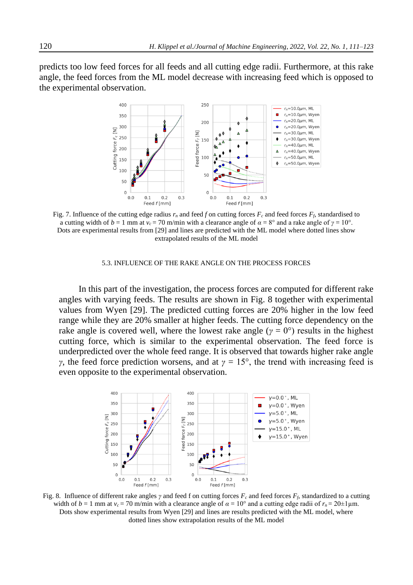predicts too low feed forces for all feeds and all cutting edge radii. Furthermore, at this rake angle, the feed forces from the ML model decrease with increasing feed which is opposed to the experimental observation.



Fig. 7. Influence of the cutting edge radius  $r_n$  and feed f on cutting forces  $F_c$  and feed forces  $F_f$ , standardised to a cutting width of  $b = 1$  mm at  $v_c = 70$  m/min with a clearance angle of  $\alpha = 8^\circ$  and a rake angle of  $\gamma = 10^\circ$ . Dots are experimental results from [29] and lines are predicted with the ML model where dotted lines show extrapolated results of the ML model

### 5.3. INFLUENCE OF THE RAKE ANGLE ON THE PROCESS FORCES

In this part of the investigation, the process forces are computed for different rake angles with varying feeds. The results are shown in Fig. 8 together with experimental values from Wyen [29]. The predicted cutting forces are 20% higher in the low feed range while they are 20% smaller at higher feeds. The cutting force dependency on the rake angle is covered well, where the lowest rake angle ( $\gamma = 0^{\circ}$ ) results in the highest cutting force, which is similar to the experimental observation. The feed force is underpredicted over the whole feed range. It is observed that towards higher rake angle *γ*, the feed force prediction worsens, and at  $\gamma = 15^\circ$ , the trend with increasing feed is even opposite to the experimental observation.



Fig. 8. Influence of different rake angles  $\gamma$  and feed f on cutting forces  $F_c$  and feed forces  $F_f$ , standardized to a cutting width of  $b = 1$  mm at  $v_c = 70$  m/min with a clearance angle of  $\alpha = 10^{\circ}$  and a cutting edge radii of  $r_n = 20 \pm 1$ µm. Dots show experimental results from Wyen [29] and lines are results predicted with the ML model, where dotted lines show extrapolation results of the ML model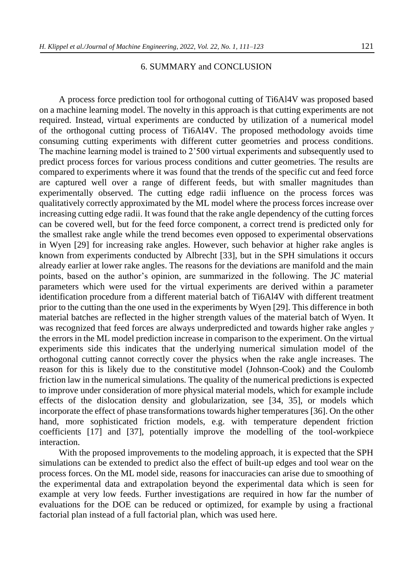## 6. SUMMARY and CONCLUSION

A process force prediction tool for orthogonal cutting of Ti6Al4V was proposed based on a machine learning model. The novelty in this approach is that cutting experiments are not required. Instead, virtual experiments are conducted by utilization of a numerical model of the orthogonal cutting process of Ti6Al4V. The proposed methodology avoids time consuming cutting experiments with different cutter geometries and process conditions. The machine learning model is trained to 2'500 virtual experiments and subsequently used to predict process forces for various process conditions and cutter geometries. The results are compared to experiments where it was found that the trends of the specific cut and feed force are captured well over a range of different feeds, but with smaller magnitudes than experimentally observed. The cutting edge radii influence on the process forces was qualitatively correctly approximated by the ML model where the process forces increase over increasing cutting edge radii. It was found that the rake angle dependency of the cutting forces can be covered well, but for the feed force component, a correct trend is predicted only for the smallest rake angle while the trend becomes even opposed to experimental observations in Wyen [29] for increasing rake angles. However, such behavior at higher rake angles is known from experiments conducted by Albrecht [33], but in the SPH simulations it occurs already earlier at lower rake angles. The reasons for the deviations are manifold and the main points, based on the author's opinion, are summarized in the following. The JC material parameters which were used for the virtual experiments are derived within a parameter identification procedure from a different material batch of Ti6Al4V with different treatment prior to the cutting than the one used in the experiments by Wyen [29]. This difference in both material batches are reflected in the higher strength values of the material batch of Wyen. It was recognized that feed forces are always underpredicted and towards higher rake angles *γ* the errors in the ML model prediction increase in comparison to the experiment. On the virtual experiments side this indicates that the underlying numerical simulation model of the orthogonal cutting cannot correctly cover the physics when the rake angle increases. The reason for this is likely due to the constitutive model (Johnson-Cook) and the Coulomb friction law in the numerical simulations. The quality of the numerical predictions is expected to improve under consideration of more physical material models, which for example include effects of the dislocation density and globularization, see [34, 35], or models which incorporate the effect of phase transformations towards higher temperatures [36]. On the other hand, more sophisticated friction models, e.g. with temperature dependent friction coefficients [17] and [37], potentially improve the modelling of the tool-workpiece interaction.

With the proposed improvements to the modeling approach, it is expected that the SPH simulations can be extended to predict also the effect of built-up edges and tool wear on the process forces. On the ML model side, reasons for inaccuracies can arise due to smoothing of the experimental data and extrapolation beyond the experimental data which is seen for example at very low feeds. Further investigations are required in how far the number of evaluations for the DOE can be reduced or optimized, for example by using a fractional factorial plan instead of a full factorial plan, which was used here.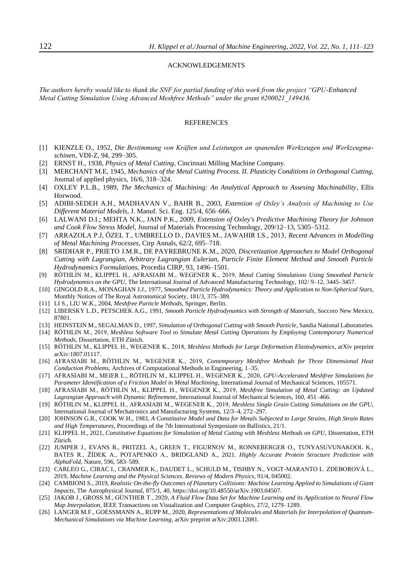#### ACKNOWLEDGEMENTS

*The authors hereby would like to thank the SNF for partial funding of this work from the project "GPU-Enhanced Metal Cutting Simulation Using Advanced Meshfree Methods" under the grant #200021\_149436.*

#### REFERENCES

- <span id="page-11-0"></span>[1] KIENZLE O., 1952, *Die Bestimmung von Kräften und Leistungen an spanenden Werkzeugen und Werkzeugmaschinen*, VDI-Z, 94, 299–305.
- <span id="page-11-1"></span>[2] ERNST H., 1938, *Physics of Metal Cutting*, Cincinnati Milling Machine Company.
- <span id="page-11-2"></span>[3] MERCHANT M.E, 1945, *Mechanics of the Metal Cutting Process. II. Plasticity Conditions in Orthogonal Cutting*, Journal of applied physics, 16/6, 318–324.
- <span id="page-11-3"></span>[4] OXLEY P.L.B., 1989, *The Mechanics of Machining: An Analytical Approach to Assesing Machinability*, Ellis Horwood.
- <span id="page-11-4"></span>[5] ADIBI-SEDEH A.H., MADHAVAN V., BAHR B., 2003, *Extension of Oxley's Analysis of Machining to Use Different Material Models,* J. Manuf. Sci. Eng. 125/4, 656–666.
- <span id="page-11-5"></span>[6] LALWANI D.I.; MEHTA N.K., JAIN P.K., 2009, *Extension of Oxley's Predictive Machining Theory for Johnson and Cook Flow Stress Model*, Journal of Materials Processing Technology, 209/12–13, 5305–5312.
- <span id="page-11-6"></span>[7] ARRAZOLA P.J, ÖZEL T., UMBRELLO D., DAVIES M., JAWAHIR I.S., 2013, *Recent Advances in Modelling of Metal Machining Processes*, Cirp Annals, 62/2, 695–718.
- <span id="page-11-7"></span>[8] SRIDHAR P., PRIETO J.M.R., DE PAYREBRUNE K.M., 2020, *Discretization Approaches to Model Orthogonal Cutting with Lagrangian, Arbitrary Lagrangian Eulerian, Particle Finite Element Method and Smooth Particle Hydrodynamics Formulations,* Procedia CIRP, 93, 1496–1501.
- [9] RÖTHLIN M., KLIPPEL H., AFRASIABI M., WEGENER K., 2019, *Metal Cutting Simulations Using Smoothed Particle Hydrodynamics on the GPU*, The International Journal of Advanced Manufacturing Technology, 102/ 9–12, 3445–3457.
- [10] GINGOLD R.A., MONAGHAN J.J., 1977, *Smoothed Particle Hydrodynamics: Theory and Application to Non-Spherical Stars*, Monthly Notices of The Royal Astronomical Society, 181/3, 375–389.
- [11] LI S., LIU W.K., 2004, *Meshfree Particle Methods*, Springer, Berlin.
- [12] LIBERSKY L.D., PETSCHEK A.G., 1991, *Smooth Particle Hydrodynamics with Strength of Materials*, Soccoro New Mexico, 87801.
- [13] HEINSTEIN M., SEGALMAN D., 1997, *Simulation of Orthogonal Cutting with Smooth Particle*, Sandia National Laboratories.
- [14] RÖTHLIN M., 2019, *Meshless Software Tool to Simulate Metal Cutting Operations by Employing Contemporary Numerical Methods*, Dissertation, ETH Zürich.
- [15] RÖTHLIN M., KLIPPEL H., WEGENER K., 2018, *Meshless Methods for Large Deformation Elastodynamics*, arXiv preprint arXiv:1807.01117.
- [16] AFRASIABI M., RÖTHLIN M., WEGENER K., 2019, *Contemporary Meshfree Methods for Three Dimensional Heat Conduction Problems*, Archives of Computational Methods in Engineering, 1–35.
- [17] AFRASIABI M., MEIER L., RÖTHLIN M., KLIPPEL H., WEGENER K., 2020, *GPU-Accelerated Meshfree Simulations for Parameter Identification of a Friction Model in Metal Machining*, International Journal of Mechanical Sciences, 105571.
- [18] AFRASIABI M., RÖTHLIN M., KLIPPEL H., WEGENER K., 2019, *Meshfree Simulation of Metal Cutting: an Updated Lagrangian Approach with Dynamic Refinement*, International Journal of Mechanical Sciences, 160, 451–466.
- [19] RÖTHLIN M., KLIPPEL H., AFRASIABI M., WEGENER K., 2019, *Meshless Single Grain Cutting Simulations on the GPU*, International Journal of Mechatronics and Manufacturing Systems, 12/3–4, 272–297.
- [20] JOHNSON G.R., COOK W.H., 1983, *A Constitutive Model and Data for Metals Subjected to Large Strains, High Strain Rates and High Temperatures*, Proceedings of the 7th International Symposium on Ballistics, 21/1.
- [21] KLIPPEL H., 2021, *Constitutive Equations for Simulation of Metal Cutting with Meshless Methods on GPU*, Dissertation, ETH Zürich.
- [22] JUMPER J., EVANS R., PRITZEL A., GREEN T., FIGURNOV M., RONNEBERGER O., TUNYASUVUNAKOOL K., BATES R., ŽÍDEK A., POTAPENKO A., BRIDGLAND A., 2021. *Highly Accurate Protein Structure Prediction with AlphaFold*, Nature, 596, 583–589.
- [23] CARLEO G., CIRAC I., CRANMER K., DAUDET L., SCHULD M., TISHBY N., VOGT-MARANTO L. ZDEBOROVÁ L., 2019, *Machine Learning and the Physical Sciences. Reviews of Modern Physics*, 91/4, 045002.
- [24] CAMBIONI S., 2019, *Realistic On-the-fly Outcomes of Planetary Collisions: Machine Learning Applied to Simulations of Giant Impacts*, The Astrophysical Journal, 875/1, 40, https://doi.org/10.48550/arXiv.1903.04507.
- [25] JAKOB J., GROSS M., GÜNTHER T., 2020, *A Fluid Flow Data Set for Machine Learning and its Application to Neural Flow Map Interpolation*, IEEE Transactions on Visualization and Computer Graphics, 27/2, 1279–1289.
- [26] LANGER M.F., GOESSMANN A., RUPP M., 2020, *Representations of Molecules and Materials for Interpolation of Quantum-Mechanical Simulations via Machine Learning*, arXiv preprint arXiv:2003.12081.